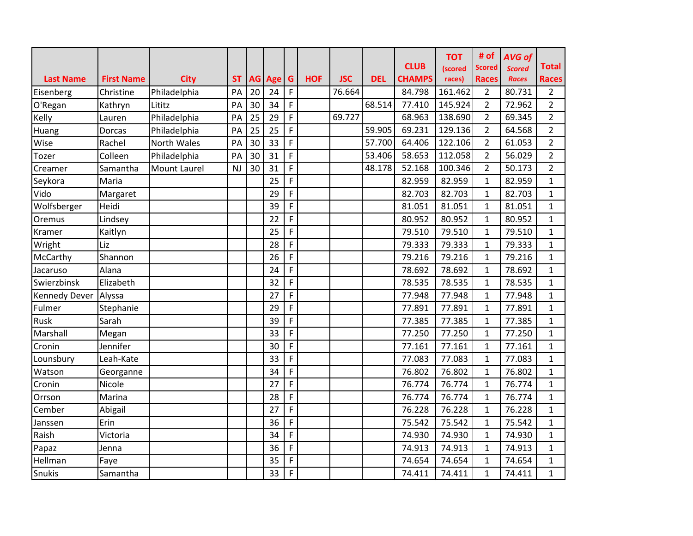| <b>Last Name</b>     | <b>First Name</b> | <b>City</b>  | <b>ST</b> |    | AG Age | $\mathbf G$ | <b>HOF</b> | <b>JSC</b> | <b>DEL</b> | <b>CLUB</b><br><b>CHAMPS</b> | <b>TOT</b><br>(scored<br>races) | # of<br><b>Scored</b><br><b>Races</b> | <b>AVG of</b><br><b>Scored</b><br><b>Races</b> | <b>Total</b><br><b>Races</b> |
|----------------------|-------------------|--------------|-----------|----|--------|-------------|------------|------------|------------|------------------------------|---------------------------------|---------------------------------------|------------------------------------------------|------------------------------|
| Eisenberg            | Christine         | Philadelphia | PA        | 20 | 24     | $\mathsf F$ |            | 76.664     |            | 84.798                       | 161.462                         | $\overline{2}$                        | 80.731                                         | $\overline{2}$               |
| O'Regan              | Kathryn           | Lititz       | PA        | 30 | 34     | $\mathsf F$ |            |            | 68.514     | 77.410                       | 145.924                         | $\overline{2}$                        | 72.962                                         | $\overline{2}$               |
| Kelly                | Lauren            | Philadelphia | PA        | 25 | 29     | $\mathsf F$ |            | 69.727     |            | 68.963                       | 138.690                         | $\overline{2}$                        | 69.345                                         | $\overline{2}$               |
| Huang                | Dorcas            | Philadelphia | PA        | 25 | 25     | F           |            |            | 59.905     | 69.231                       | 129.136                         | $\overline{2}$                        | 64.568                                         | $\overline{2}$               |
| Wise                 | Rachel            | North Wales  | PA        | 30 | 33     | F           |            |            | 57.700     | 64.406                       | 122.106                         | $\overline{2}$                        | 61.053                                         | $\overline{2}$               |
| Tozer                | Colleen           | Philadelphia | PA        | 30 | 31     | F           |            |            | 53.406     | 58.653                       | 112.058                         | $\overline{2}$                        | 56.029                                         | $\overline{2}$               |
| Creamer              | Samantha          | Mount Laurel | <b>NJ</b> | 30 | 31     | F           |            |            | 48.178     | 52.168                       | 100.346                         | $\overline{2}$                        | 50.173                                         | $\overline{2}$               |
| Seykora              | Maria             |              |           |    | 25     | $\mathsf F$ |            |            |            | 82.959                       | 82.959                          | $\mathbf{1}$                          | 82.959                                         | $\mathbf{1}$                 |
| Vido                 | Margaret          |              |           |    | 29     | F           |            |            |            | 82.703                       | 82.703                          | $\mathbf{1}$                          | 82.703                                         | $\mathbf{1}$                 |
| Wolfsberger          | Heidi             |              |           |    | 39     | F           |            |            |            | 81.051                       | 81.051                          | $\mathbf{1}$                          | 81.051                                         | $\mathbf{1}$                 |
| Oremus               | Lindsey           |              |           |    | 22     | F           |            |            |            | 80.952                       | 80.952                          | $\mathbf{1}$                          | 80.952                                         | $\mathbf{1}$                 |
| Kramer               | Kaitlyn           |              |           |    | 25     | F           |            |            |            | 79.510                       | 79.510                          | $\mathbf{1}$                          | 79.510                                         | $\mathbf{1}$                 |
| Wright               | Liz               |              |           |    | 28     | F           |            |            |            | 79.333                       | 79.333                          | $\mathbf{1}$                          | 79.333                                         | $\mathbf{1}$                 |
| McCarthy             | Shannon           |              |           |    | 26     | F           |            |            |            | 79.216                       | 79.216                          | $\mathbf{1}$                          | 79.216                                         | 1                            |
| Jacaruso             | Alana             |              |           |    | 24     | F           |            |            |            | 78.692                       | 78.692                          | $\mathbf{1}$                          | 78.692                                         | $\mathbf{1}$                 |
| Swierzbinsk          | Elizabeth         |              |           |    | 32     | $\mathsf F$ |            |            |            | 78.535                       | 78.535                          | $\mathbf{1}$                          | 78.535                                         | $\mathbf{1}$                 |
| Kennedy Dever Alyssa |                   |              |           |    | 27     | F           |            |            |            | 77.948                       | 77.948                          | $\mathbf{1}$                          | 77.948                                         | $\mathbf{1}$                 |
| Fulmer               | Stephanie         |              |           |    | 29     | $\mathsf F$ |            |            |            | 77.891                       | 77.891                          | $\mathbf{1}$                          | 77.891                                         | $\mathbf{1}$                 |
| Rusk                 | Sarah             |              |           |    | 39     | $\mathsf F$ |            |            |            | 77.385                       | 77.385                          | $\mathbf{1}$                          | 77.385                                         | $\mathbf{1}$                 |
| Marshall             | Megan             |              |           |    | 33     | F           |            |            |            | 77.250                       | 77.250                          | $\mathbf{1}$                          | 77.250                                         | $\mathbf{1}$                 |
| Cronin               | Jennifer          |              |           |    | 30     | $\mathsf F$ |            |            |            | 77.161                       | 77.161                          | $\mathbf{1}$                          | 77.161                                         | $\mathbf{1}$                 |
| Lounsbury            | Leah-Kate         |              |           |    | 33     | F           |            |            |            | 77.083                       | 77.083                          | $\mathbf{1}$                          | 77.083                                         | 1                            |
| Watson               | Georganne         |              |           |    | 34     | F           |            |            |            | 76.802                       | 76.802                          | $\mathbf{1}$                          | 76.802                                         | $\mathbf{1}$                 |
| Cronin               | Nicole            |              |           |    | 27     | F           |            |            |            | 76.774                       | 76.774                          | $\mathbf{1}$                          | 76.774                                         | $\mathbf{1}$                 |
| Orrson               | Marina            |              |           |    | 28     | F           |            |            |            | 76.774                       | 76.774                          | $\mathbf{1}$                          | 76.774                                         | $\mathbf{1}$                 |
| Cember               | Abigail           |              |           |    | 27     | F           |            |            |            | 76.228                       | 76.228                          | $\mathbf{1}$                          | 76.228                                         | $\mathbf{1}$                 |
| Janssen              | Erin              |              |           |    | 36     | $\mathsf F$ |            |            |            | 75.542                       | 75.542                          | $\mathbf{1}$                          | 75.542                                         | $\mathbf{1}$                 |
| Raish                | Victoria          |              |           |    | 34     | F           |            |            |            | 74.930                       | 74.930                          | $\mathbf{1}$                          | 74.930                                         | $\mathbf{1}$                 |
| Papaz                | Jenna             |              |           |    | 36     | $\mathsf F$ |            |            |            | 74.913                       | 74.913                          | $\mathbf{1}$                          | 74.913                                         | 1                            |
| Hellman              | Faye              |              |           |    | 35     | F           |            |            |            | 74.654                       | 74.654                          | $\mathbf{1}$                          | 74.654                                         | $\mathbf{1}$                 |
| Snukis               | Samantha          |              |           |    | 33     | $\mathsf F$ |            |            |            | 74.411                       | 74.411                          | $\mathbf{1}$                          | 74.411                                         | $\mathbf{1}$                 |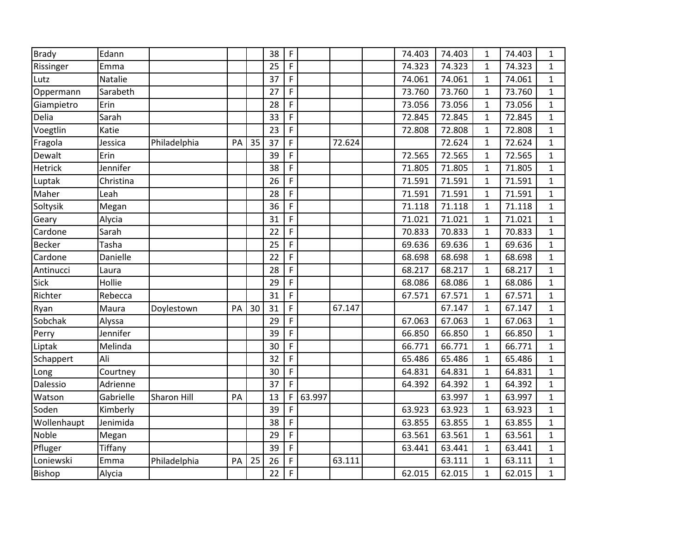| <b>Brady</b>  | Edann     |              |    |    | 38 | $\mathsf F$ |        |        | 74.403 | 74.403 | 1            | 74.403 | $\mathbf{1}$ |
|---------------|-----------|--------------|----|----|----|-------------|--------|--------|--------|--------|--------------|--------|--------------|
| Rissinger     | Emma      |              |    |    | 25 | $\mathsf F$ |        |        | 74.323 | 74.323 | 1            | 74.323 | $\mathbf{1}$ |
| Lutz          | Natalie   |              |    |    | 37 | F           |        |        | 74.061 | 74.061 | $\mathbf{1}$ | 74.061 | $\mathbf{1}$ |
| Oppermann     | Sarabeth  |              |    |    | 27 | $\mathsf F$ |        |        | 73.760 | 73.760 | $\mathbf{1}$ | 73.760 | $\mathbf{1}$ |
| Giampietro    | Erin      |              |    |    | 28 | F           |        |        | 73.056 | 73.056 | 1            | 73.056 | $\mathbf{1}$ |
| Delia         | Sarah     |              |    |    | 33 | $\mathsf F$ |        |        | 72.845 | 72.845 | $\mathbf{1}$ | 72.845 | $\mathbf{1}$ |
| Voegtlin      | Katie     |              |    |    | 23 | F           |        |        | 72.808 | 72.808 | $\mathbf 1$  | 72.808 | $\mathbf{1}$ |
| Fragola       | Jessica   | Philadelphia | PA | 35 | 37 | F           |        | 72.624 |        | 72.624 | $\mathbf{1}$ | 72.624 | $\mathbf{1}$ |
| Dewalt        | Erin      |              |    |    | 39 | $\mathsf F$ |        |        | 72.565 | 72.565 | $\mathbf{1}$ | 72.565 | $\mathbf{1}$ |
| Hetrick       | Jennifer  |              |    |    | 38 | $\mathsf F$ |        |        | 71.805 | 71.805 | $\mathbf{1}$ | 71.805 | $\mathbf{1}$ |
| Luptak        | Christina |              |    |    | 26 | $\mathsf F$ |        |        | 71.591 | 71.591 | $\mathbf{1}$ | 71.591 | $\mathbf{1}$ |
| Maher         | Leah      |              |    |    | 28 | $\mathsf F$ |        |        | 71.591 | 71.591 | $\mathbf{1}$ | 71.591 | $\mathbf{1}$ |
| Soltysik      | Megan     |              |    |    | 36 | $\mathsf F$ |        |        | 71.118 | 71.118 | $\mathbf{1}$ | 71.118 | $\mathbf{1}$ |
| Geary         | Alycia    |              |    |    | 31 | $\mathsf F$ |        |        | 71.021 | 71.021 | $\mathbf{1}$ | 71.021 | $\mathbf{1}$ |
| Cardone       | Sarah     |              |    |    | 22 | $\mathsf F$ |        |        | 70.833 | 70.833 | $\mathbf{1}$ | 70.833 | $\mathbf{1}$ |
| <b>Becker</b> | Tasha     |              |    |    | 25 | $\mathsf F$ |        |        | 69.636 | 69.636 | $\mathbf{1}$ | 69.636 | $\mathbf{1}$ |
| Cardone       | Danielle  |              |    |    | 22 | F           |        |        | 68.698 | 68.698 | $\mathbf 1$  | 68.698 | $\mathbf{1}$ |
| Antinucci     | Laura     |              |    |    | 28 | F           |        |        | 68.217 | 68.217 | $\mathbf 1$  | 68.217 | $\mathbf{1}$ |
| <b>Sick</b>   | Hollie    |              |    |    | 29 | F           |        |        | 68.086 | 68.086 | $\mathbf{1}$ | 68.086 | $\mathbf{1}$ |
| Richter       | Rebecca   |              |    |    | 31 | F           |        |        | 67.571 | 67.571 | $\mathbf{1}$ | 67.571 | $\mathbf{1}$ |
| Ryan          | Maura     | Doylestown   | PA | 30 | 31 | $\mathsf F$ |        | 67.147 |        | 67.147 | $\mathbf{1}$ | 67.147 | $\mathbf{1}$ |
| Sobchak       | Alyssa    |              |    |    | 29 | F           |        |        | 67.063 | 67.063 | 1            | 67.063 | $\mathbf{1}$ |
| Perry         | Jennifer  |              |    |    | 39 | F           |        |        | 66.850 | 66.850 | 1            | 66.850 | $\mathbf{1}$ |
| Liptak        | Melinda   |              |    |    | 30 | $\mathsf F$ |        |        | 66.771 | 66.771 | $\mathbf{1}$ | 66.771 | $\mathbf{1}$ |
| Schappert     | Ali       |              |    |    | 32 | F           |        |        | 65.486 | 65.486 | $\mathbf{1}$ | 65.486 | $\mathbf{1}$ |
| Long          | Courtney  |              |    |    | 30 | $\mathsf F$ |        |        | 64.831 | 64.831 | $\mathbf{1}$ | 64.831 | $\mathbf{1}$ |
| Dalessio      | Adrienne  |              |    |    | 37 | F           |        |        | 64.392 | 64.392 | 1            | 64.392 | $\mathbf{1}$ |
| Watson        | Gabrielle | Sharon Hill  | PA |    | 13 | F           | 63.997 |        |        | 63.997 | $\mathbf{1}$ | 63.997 | $\mathbf{1}$ |
| Soden         | Kimberly  |              |    |    | 39 | $\mathsf F$ |        |        | 63.923 | 63.923 | $\mathbf{1}$ | 63.923 | $\mathbf{1}$ |
| Wollenhaupt   | Jenimida  |              |    |    | 38 | $\mathsf F$ |        |        | 63.855 | 63.855 | $\mathbf{1}$ | 63.855 | $\mathbf{1}$ |
| Noble         | Megan     |              |    |    | 29 | F           |        |        | 63.561 | 63.561 | $\mathbf{1}$ | 63.561 | $\mathbf{1}$ |
| Pfluger       | Tiffany   |              |    |    | 39 | $\mathsf F$ |        |        | 63.441 | 63.441 | $\mathbf{1}$ | 63.441 | $\mathbf{1}$ |
| Loniewski     | Emma      | Philadelphia | PA | 25 | 26 | F           |        | 63.111 |        | 63.111 | $\mathbf 1$  | 63.111 | $\mathbf{1}$ |
| <b>Bishop</b> | Alycia    |              |    |    | 22 | $\mathsf F$ |        |        | 62.015 | 62.015 | $\mathbf{1}$ | 62.015 | $\mathbf{1}$ |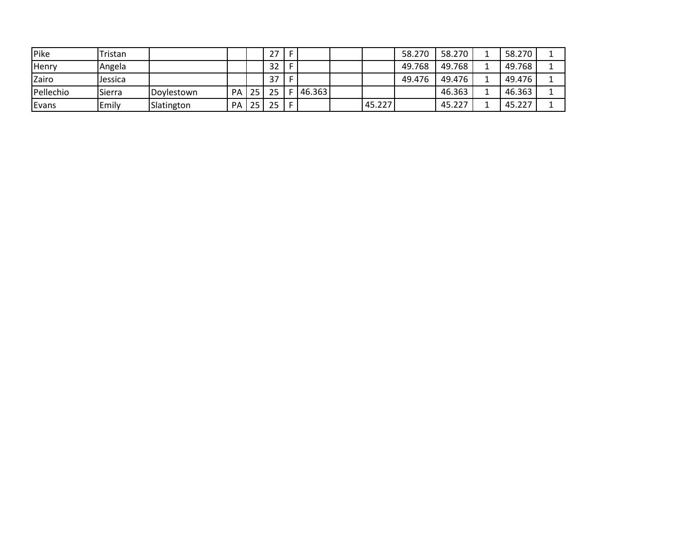| Pike      | Tristan |            |           |    | 27 |   |        |        | 58.270 | 58.270 | 58.270 |  |
|-----------|---------|------------|-----------|----|----|---|--------|--------|--------|--------|--------|--|
| Henry     | Angela  |            |           |    | 32 |   |        |        | 49.768 | 49.768 | 49.768 |  |
| Zairo     | Jessica |            |           |    | 37 |   |        |        | 49.476 | 49.476 | 49.476 |  |
| Pellechio | Sierra  | Doylestown | <b>PA</b> | 25 | 25 |   | 46.363 |        |        | 46.363 | 46.363 |  |
| Evans     | Emily   | Slatington | <b>PA</b> | 25 | 25 | F |        | 45.227 |        | 45.227 | 45.227 |  |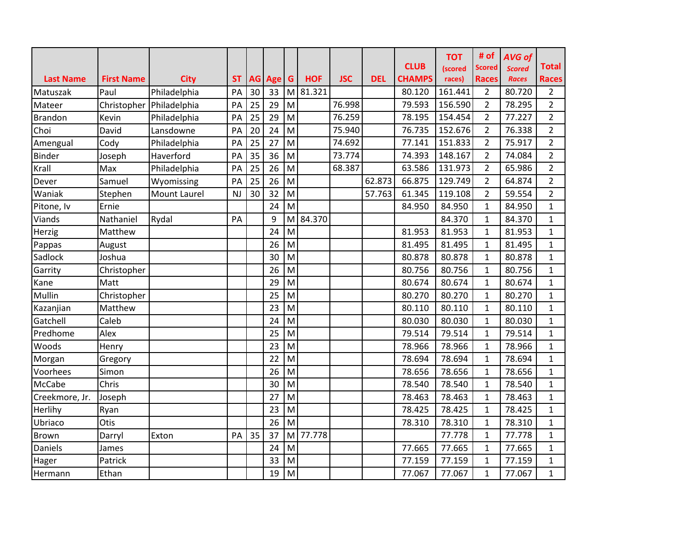| <b>Last Name</b> | <b>First Name</b> | <b>City</b>         | <b>ST</b> |    | AG Age | $\mathbf G$                                                                           | <b>HOF</b> | <b>JSC</b> | <b>DEL</b> | <b>CLUB</b><br><b>CHAMPS</b> | <b>TOT</b><br>(scored<br>races) | # of<br><b>Scored</b><br><b>Races</b> | <b>AVG of</b><br><b>Scored</b><br><b>Races</b> | <b>Total</b><br><b>Races</b> |
|------------------|-------------------|---------------------|-----------|----|--------|---------------------------------------------------------------------------------------|------------|------------|------------|------------------------------|---------------------------------|---------------------------------------|------------------------------------------------|------------------------------|
| Matuszak         | Paul              | Philadelphia        | PA        | 30 | 33     | M                                                                                     | 81.321     |            |            | 80.120                       | 161.441                         | $\overline{2}$                        | 80.720                                         | $\overline{2}$               |
| Mateer           | Christopher       | Philadelphia        | PA        | 25 | 29     | M                                                                                     |            | 76.998     |            | 79.593                       | 156.590                         | $\overline{2}$                        | 78.295                                         | $\overline{2}$               |
| <b>Brandon</b>   | Kevin             | Philadelphia        | PA        | 25 | 29     | $\mathsf{M}% _{T}=\mathsf{M}_{T}\!\left( a,b\right) ,\ \mathsf{M}_{T}=\mathsf{M}_{T}$ |            | 76.259     |            | 78.195                       | 154.454                         | $\overline{2}$                        | 77.227                                         | $\overline{2}$               |
| Choi             | David             | Lansdowne           | PA        | 20 | 24     | M                                                                                     |            | 75.940     |            | 76.735                       | 152.676                         | $\overline{2}$                        | 76.338                                         | $\overline{2}$               |
| Amengual         | Cody              | Philadelphia        | PA        | 25 | 27     | M                                                                                     |            | 74.692     |            | 77.141                       | 151.833                         | $\overline{2}$                        | 75.917                                         | $\overline{2}$               |
| <b>Binder</b>    | Joseph            | Haverford           | PA        | 35 | 36     | M                                                                                     |            | 73.774     |            | 74.393                       | 148.167                         | $\overline{2}$                        | 74.084                                         | $\overline{2}$               |
| Krall            | Max               | Philadelphia        | PA        | 25 | 26     | M                                                                                     |            | 68.387     |            | 63.586                       | 131.973                         | $\overline{2}$                        | 65.986                                         | $\overline{2}$               |
| Dever            | Samuel            | Wyomissing          | PA        | 25 | 26     | $\mathsf{M}$                                                                          |            |            | 62.873     | 66.875                       | 129.749                         | $\overline{2}$                        | 64.874                                         | $\overline{2}$               |
| Waniak           | Stephen           | <b>Mount Laurel</b> | <b>NJ</b> | 30 | 32     | M                                                                                     |            |            | 57.763     | 61.345                       | 119.108                         | $\overline{2}$                        | 59.554                                         | $\overline{2}$               |
| Pitone, Iv       | Ernie             |                     |           |    | 24     | M                                                                                     |            |            |            | 84.950                       | 84.950                          | $\mathbf{1}$                          | 84.950                                         | $\mathbf{1}$                 |
| Viands           | Nathaniel         | Rydal               | PA        |    | 9      | M                                                                                     | 84.370     |            |            |                              | 84.370                          | $\mathbf{1}$                          | 84.370                                         | $\mathbf{1}$                 |
| Herzig           | Matthew           |                     |           |    | 24     | M                                                                                     |            |            |            | 81.953                       | 81.953                          | $\mathbf{1}$                          | 81.953                                         | $\mathbf{1}$                 |
| Pappas           | August            |                     |           |    | 26     | M                                                                                     |            |            |            | 81.495                       | 81.495                          | $\mathbf{1}$                          | 81.495                                         | $\mathbf{1}$                 |
| Sadlock          | Joshua            |                     |           |    | 30     | M                                                                                     |            |            |            | 80.878                       | 80.878                          | $\mathbf{1}$                          | 80.878                                         | $\mathbf{1}$                 |
| Garrity          | Christopher       |                     |           |    | 26     | M                                                                                     |            |            |            | 80.756                       | 80.756                          | $\mathbf{1}$                          | 80.756                                         | $\mathbf{1}$                 |
| Kane             | Matt              |                     |           |    | 29     | M                                                                                     |            |            |            | 80.674                       | 80.674                          | $\mathbf{1}$                          | 80.674                                         | $\mathbf{1}$                 |
| Mullin           | Christopher       |                     |           |    | 25     | M                                                                                     |            |            |            | 80.270                       | 80.270                          | $\mathbf{1}$                          | 80.270                                         | $\mathbf{1}$                 |
| Kazanjian        | Matthew           |                     |           |    | 23     | M                                                                                     |            |            |            | 80.110                       | 80.110                          | $\mathbf{1}$                          | 80.110                                         | $\mathbf{1}$                 |
| Gatchell         | Caleb             |                     |           |    | 24     | M                                                                                     |            |            |            | 80.030                       | 80.030                          | $\mathbf{1}$                          | 80.030                                         | 1                            |
| Predhome         | Alex              |                     |           |    | 25     | M                                                                                     |            |            |            | 79.514                       | 79.514                          | $\mathbf{1}$                          | 79.514                                         | $\mathbf{1}$                 |
| Woods            | Henry             |                     |           |    | 23     | M                                                                                     |            |            |            | 78.966                       | 78.966                          | $\mathbf{1}$                          | 78.966                                         | $\mathbf{1}$                 |
| Morgan           | Gregory           |                     |           |    | 22     | M                                                                                     |            |            |            | 78.694                       | 78.694                          | $\mathbf{1}$                          | 78.694                                         | $\mathbf{1}$                 |
| Voorhees         | Simon             |                     |           |    | 26     | M                                                                                     |            |            |            | 78.656                       | 78.656                          | $\mathbf{1}$                          | 78.656                                         | $\mathbf{1}$                 |
| McCabe           | Chris             |                     |           |    | 30     | M                                                                                     |            |            |            | 78.540                       | 78.540                          | $\mathbf{1}$                          | 78.540                                         | $\mathbf{1}$                 |
| Creekmore, Jr.   | Joseph            |                     |           |    | 27     | M                                                                                     |            |            |            | 78.463                       | 78.463                          | $\mathbf{1}$                          | 78.463                                         | $\mathbf{1}$                 |
| Herlihy          | Ryan              |                     |           |    | 23     | M                                                                                     |            |            |            | 78.425                       | 78.425                          | $\mathbf{1}$                          | 78.425                                         | $\mathbf{1}$                 |
| Ubriaco          | Otis              |                     |           |    | 26     | M                                                                                     |            |            |            | 78.310                       | 78.310                          | $\mathbf{1}$                          | 78.310                                         | 1                            |
| <b>Brown</b>     | Darryl            | Exton               | PA        | 35 | 37     | M                                                                                     | 77.778     |            |            |                              | 77.778                          | $\mathbf{1}$                          | 77.778                                         | $\mathbf{1}$                 |
| Daniels          | James             |                     |           |    | 24     | M                                                                                     |            |            |            | 77.665                       | 77.665                          | $\mathbf{1}$                          | 77.665                                         | $\mathbf{1}$                 |
| Hager            | Patrick           |                     |           |    | 33     | M                                                                                     |            |            |            | 77.159                       | 77.159                          | $\mathbf{1}$                          | 77.159                                         | 1                            |
| Hermann          | Ethan             |                     |           |    | 19     | M                                                                                     |            |            |            | 77.067                       | 77.067                          | $\mathbf{1}$                          | 77.067                                         | $\mathbf{1}$                 |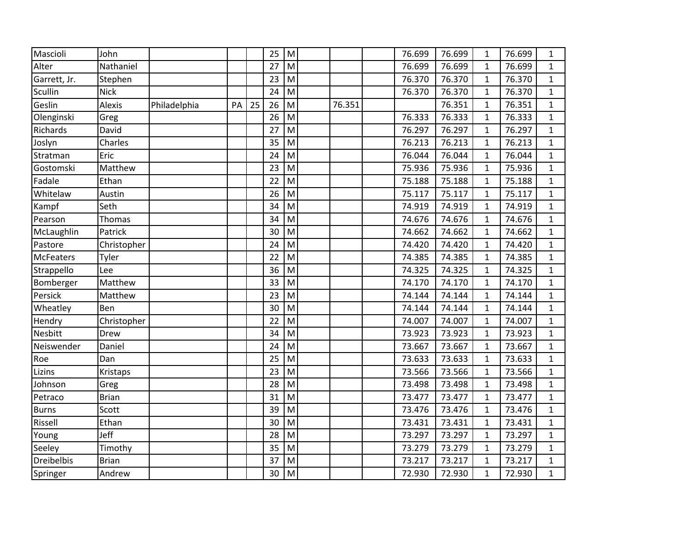| Mascioli          | John         |              |    |    | 25 | M         |        | 76.699 | 76.699 | 1            | 76.699 | $\mathbf{1}$ |
|-------------------|--------------|--------------|----|----|----|-----------|--------|--------|--------|--------------|--------|--------------|
| Alter             | Nathaniel    |              |    |    | 27 | M         |        | 76.699 | 76.699 | $\mathbf{1}$ | 76.699 | $\mathbf{1}$ |
| Garrett, Jr.      | Stephen      |              |    |    | 23 | M         |        | 76.370 | 76.370 | $\mathbf{1}$ | 76.370 | $\mathbf{1}$ |
| Scullin           | <b>Nick</b>  |              |    |    | 24 | M         |        | 76.370 | 76.370 | $\mathbf{1}$ | 76.370 | $\mathbf{1}$ |
| Geslin            | Alexis       | Philadelphia | PA | 25 | 26 | M         | 76.351 |        | 76.351 | $\mathbf{1}$ | 76.351 | $\mathbf{1}$ |
| Olenginski        | Greg         |              |    |    | 26 | M         |        | 76.333 | 76.333 | $\mathbf{1}$ | 76.333 | $\mathbf{1}$ |
| Richards          | David        |              |    |    | 27 | M         |        | 76.297 | 76.297 | 1            | 76.297 | $\mathbf{1}$ |
| Joslyn            | Charles      |              |    |    | 35 | M         |        | 76.213 | 76.213 | $\mathbf{1}$ | 76.213 | $\mathbf{1}$ |
| Stratman          | Eric         |              |    |    | 24 | M         |        | 76.044 | 76.044 | $\mathbf{1}$ | 76.044 | $\mathbf{1}$ |
| Gostomski         | Matthew      |              |    |    | 23 | M         |        | 75.936 | 75.936 | $\mathbf{1}$ | 75.936 | $\mathbf{1}$ |
| Fadale            | Ethan        |              |    |    | 22 | M         |        | 75.188 | 75.188 | $\mathbf{1}$ | 75.188 | $\mathbf{1}$ |
| Whitelaw          | Austin       |              |    |    | 26 | M         |        | 75.117 | 75.117 | 1            | 75.117 | $\mathbf{1}$ |
| Kampf             | Seth         |              |    |    | 34 | M         |        | 74.919 | 74.919 | $\mathbf{1}$ | 74.919 | $\mathbf{1}$ |
| Pearson           | Thomas       |              |    |    | 34 | M         |        | 74.676 | 74.676 | $\mathbf{1}$ | 74.676 | $\mathbf{1}$ |
| McLaughlin        | Patrick      |              |    |    | 30 | M         |        | 74.662 | 74.662 | $\mathbf{1}$ | 74.662 | $\mathbf{1}$ |
| Pastore           | Christopher  |              |    |    | 24 | ${\sf M}$ |        | 74.420 | 74.420 | $\mathbf{1}$ | 74.420 | $\mathbf{1}$ |
| <b>McFeaters</b>  | Tyler        |              |    |    | 22 | M         |        | 74.385 | 74.385 | $\mathbf{1}$ | 74.385 | $\mathbf{1}$ |
| Strappello        | Lee          |              |    |    | 36 | M         |        | 74.325 | 74.325 | $\mathbf{1}$ | 74.325 | $\mathbf{1}$ |
| Bomberger         | Matthew      |              |    |    | 33 | M         |        | 74.170 | 74.170 | $\mathbf{1}$ | 74.170 | $\mathbf{1}$ |
| Persick           | Matthew      |              |    |    | 23 | M         |        | 74.144 | 74.144 | $\mathbf{1}$ | 74.144 | $\mathbf{1}$ |
| Wheatley          | Ben          |              |    |    | 30 | M         |        | 74.144 | 74.144 | $\mathbf{1}$ | 74.144 | $\mathbf{1}$ |
| Hendry            | Christopher  |              |    |    | 22 | M         |        | 74.007 | 74.007 | $\mathbf{1}$ | 74.007 | $\mathbf{1}$ |
| <b>Nesbitt</b>    | Drew         |              |    |    | 34 | M         |        | 73.923 | 73.923 | $\mathbf 1$  | 73.923 | $\mathbf{1}$ |
| Neiswender        | Daniel       |              |    |    | 24 | M         |        | 73.667 | 73.667 | $\mathbf{1}$ | 73.667 | $\mathbf{1}$ |
| Roe               | Dan          |              |    |    | 25 | M         |        | 73.633 | 73.633 | $\mathbf{1}$ | 73.633 | $\mathbf{1}$ |
| Lizins            | Kristaps     |              |    |    | 23 | M         |        | 73.566 | 73.566 | $\mathbf{1}$ | 73.566 | $\mathbf{1}$ |
| Johnson           | Greg         |              |    |    | 28 | M         |        | 73.498 | 73.498 | $\mathbf 1$  | 73.498 | $\mathbf{1}$ |
| Petraco           | <b>Brian</b> |              |    |    | 31 | M         |        | 73.477 | 73.477 | $\mathbf{1}$ | 73.477 | $\mathbf{1}$ |
| <b>Burns</b>      | Scott        |              |    |    | 39 | M         |        | 73.476 | 73.476 | $\mathbf{1}$ | 73.476 | $\mathbf{1}$ |
| Rissell           | Ethan        |              |    |    | 30 | M         |        | 73.431 | 73.431 | $\mathbf{1}$ | 73.431 | $\mathbf{1}$ |
| Young             | Jeff         |              |    |    | 28 | M         |        | 73.297 | 73.297 | $\mathbf{1}$ | 73.297 | $\mathbf{1}$ |
| Seeley            | Timothy      |              |    |    | 35 | ${\sf M}$ |        | 73.279 | 73.279 | $\mathbf{1}$ | 73.279 | $\mathbf{1}$ |
| <b>Dreibelbis</b> | <b>Brian</b> |              |    |    | 37 | M         |        | 73.217 | 73.217 | $\mathbf 1$  | 73.217 | $\mathbf{1}$ |
| Springer          | Andrew       |              |    |    | 30 | M         |        | 72.930 | 72.930 | $\mathbf{1}$ | 72.930 | $\mathbf{1}$ |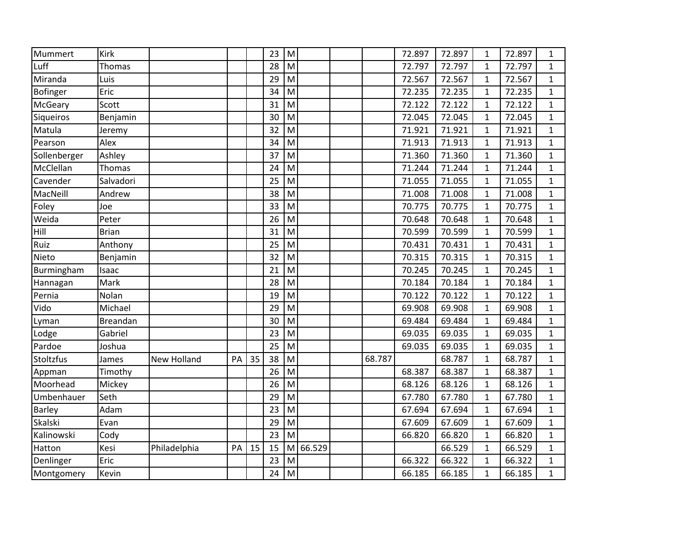| Mummert       | Kirk         |              |    |    | 23 | M         |        |        | 72.897 | 72.897 | 1            | 72.897 | $\mathbf{1}$ |
|---------------|--------------|--------------|----|----|----|-----------|--------|--------|--------|--------|--------------|--------|--------------|
| Luff          | Thomas       |              |    |    | 28 | M         |        |        | 72.797 | 72.797 | $\mathbf{1}$ | 72.797 | $\mathbf{1}$ |
| Miranda       | Luis         |              |    |    | 29 | M         |        |        | 72.567 | 72.567 | $\mathbf{1}$ | 72.567 | $\mathbf{1}$ |
| Bofinger      | Eric         |              |    |    | 34 | M         |        |        | 72.235 | 72.235 | $\mathbf{1}$ | 72.235 | $\mathbf{1}$ |
| McGeary       | Scott        |              |    |    | 31 | M         |        |        | 72.122 | 72.122 | $\mathbf{1}$ | 72.122 | $\mathbf{1}$ |
| Sigueiros     | Benjamin     |              |    |    | 30 | M         |        |        | 72.045 | 72.045 | $\mathbf{1}$ | 72.045 | $\mathbf{1}$ |
| Matula        | Jeremy       |              |    |    | 32 | M         |        |        | 71.921 | 71.921 | 1            | 71.921 | $\mathbf{1}$ |
| Pearson       | Alex         |              |    |    | 34 | M         |        |        | 71.913 | 71.913 | $\mathbf 1$  | 71.913 | $\mathbf{1}$ |
| Sollenberger  | Ashley       |              |    |    | 37 | M         |        |        | 71.360 | 71.360 | $\mathbf{1}$ | 71.360 | $\mathbf{1}$ |
| McClellan     | Thomas       |              |    |    | 24 | M         |        |        | 71.244 | 71.244 | $\mathbf{1}$ | 71.244 | $\mathbf{1}$ |
| Cavender      | Salvadori    |              |    |    | 25 | ${\sf M}$ |        |        | 71.055 | 71.055 | $\mathbf{1}$ | 71.055 | $\mathbf{1}$ |
| MacNeill      | Andrew       |              |    |    | 38 | M         |        |        | 71.008 | 71.008 | $\mathbf{1}$ | 71.008 | $\mathbf{1}$ |
| Foley         | Joe          |              |    |    | 33 | M         |        |        | 70.775 | 70.775 | $\mathbf{1}$ | 70.775 | $\mathbf{1}$ |
| Weida         | Peter        |              |    |    | 26 | M         |        |        | 70.648 | 70.648 | $\mathbf{1}$ | 70.648 | $\mathbf{1}$ |
| Hill          | <b>Brian</b> |              |    |    | 31 | M         |        |        | 70.599 | 70.599 | $\mathbf{1}$ | 70.599 | $\mathbf{1}$ |
| Ruiz          | Anthony      |              |    |    | 25 | M         |        |        | 70.431 | 70.431 | $\mathbf{1}$ | 70.431 | $\mathbf{1}$ |
| Nieto         | Benjamin     |              |    |    | 32 | M         |        |        | 70.315 | 70.315 | $\mathbf 1$  | 70.315 | $\mathbf{1}$ |
| Burmingham    | Isaac        |              |    |    | 21 | M         |        |        | 70.245 | 70.245 | $\mathbf 1$  | 70.245 | $\mathbf{1}$ |
| Hannagan      | Mark         |              |    |    | 28 | M         |        |        | 70.184 | 70.184 | $\mathbf{1}$ | 70.184 | $\mathbf{1}$ |
| Pernia        | Nolan        |              |    |    | 19 | M         |        |        | 70.122 | 70.122 | $\mathbf{1}$ | 70.122 | $\mathbf{1}$ |
| Vido          | Michael      |              |    |    | 29 | M         |        |        | 69.908 | 69.908 | $\mathbf{1}$ | 69.908 | $\mathbf{1}$ |
| Lyman         | Breandan     |              |    |    | 30 | M         |        |        | 69.484 | 69.484 | $\mathbf{1}$ | 69.484 | $\mathbf{1}$ |
| Lodge         | Gabriel      |              |    |    | 23 | M         |        |        | 69.035 | 69.035 | 1            | 69.035 | $\mathbf{1}$ |
| Pardoe        | Joshua       |              |    |    | 25 | M         |        |        | 69.035 | 69.035 | $\mathbf{1}$ | 69.035 | $\mathbf{1}$ |
| Stoltzfus     | James        | New Holland  | PA | 35 | 38 | M         |        | 68.787 |        | 68.787 | $\mathbf{1}$ | 68.787 | $\mathbf{1}$ |
| Appman        | Timothy      |              |    |    | 26 | M         |        |        | 68.387 | 68.387 | $\mathbf{1}$ | 68.387 | $\mathbf{1}$ |
| Moorhead      | Mickey       |              |    |    | 26 | ${\sf M}$ |        |        | 68.126 | 68.126 | 1            | 68.126 | $\mathbf{1}$ |
| Umbenhauer    | Seth         |              |    |    | 29 | M         |        |        | 67.780 | 67.780 | $\mathbf{1}$ | 67.780 | $\mathbf{1}$ |
| <b>Barley</b> | Adam         |              |    |    | 23 | M         |        |        | 67.694 | 67.694 | $\mathbf{1}$ | 67.694 | $\mathbf{1}$ |
| Skalski       | Evan         |              |    |    | 29 | M         |        |        | 67.609 | 67.609 | $\mathbf{1}$ | 67.609 | $\mathbf{1}$ |
| Kalinowski    | Cody         |              |    |    | 23 | M         |        |        | 66.820 | 66.820 | $\mathbf{1}$ | 66.820 | $\mathbf{1}$ |
| Hatton        | Kesi         | Philadelphia | PA | 15 | 15 | M         | 66.529 |        |        | 66.529 | $\mathbf{1}$ | 66.529 | $\mathbf{1}$ |
| Denlinger     | Eric         |              |    |    | 23 | M         |        |        | 66.322 | 66.322 | $\mathbf 1$  | 66.322 | $\mathbf{1}$ |
| Montgomery    | Kevin        |              |    |    | 24 | M         |        |        | 66.185 | 66.185 | $\mathbf{1}$ | 66.185 | $\mathbf{1}$ |